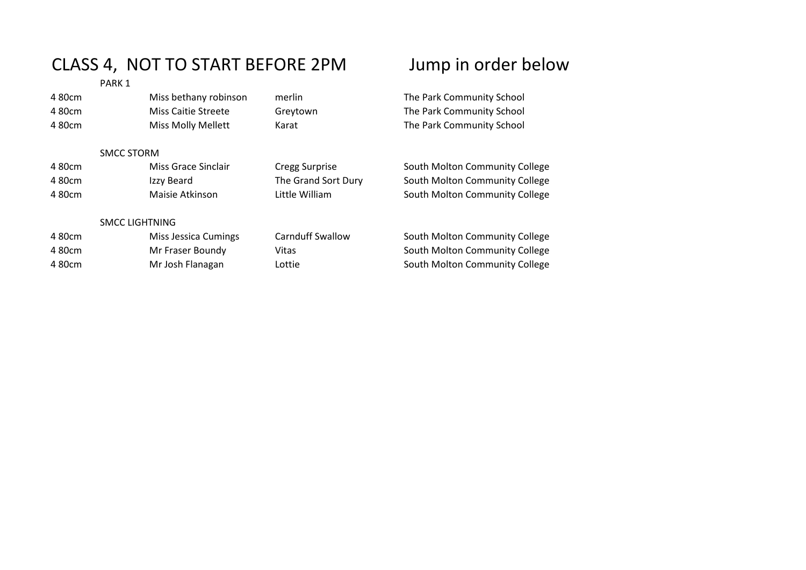## CLASS 4, NOT TO START BEFORE 2PM Jump in order below

PARK 1

| 480cm  | Miss bethany robinson      | merlin                  | The Park Community School      |
|--------|----------------------------|-------------------------|--------------------------------|
| 480cm  | <b>Miss Caitie Streete</b> | Greytown                | The Park Community School      |
| 480cm  | <b>Miss Molly Mellett</b>  | Karat                   | The Park Community School      |
|        | <b>SMCC STORM</b>          |                         |                                |
| 4 80cm | Miss Grace Sinclair        | <b>Cregg Surprise</b>   | South Molton Community College |
| 480cm  | Izzy Beard                 | The Grand Sort Dury     | South Molton Community College |
| 480cm  | Maisie Atkinson            | Little William          | South Molton Community College |
|        | <b>SMCC LIGHTNING</b>      |                         |                                |
| 4 80cm | Miss Jessica Cumings       | <b>Carnduff Swallow</b> | South Molton Community College |
| 480cm  | Mr Fraser Boundy           | Vitas                   | South Molton Community College |
| 480cm  | Mr Josh Flanagan           | Lottie                  | South Molton Community College |